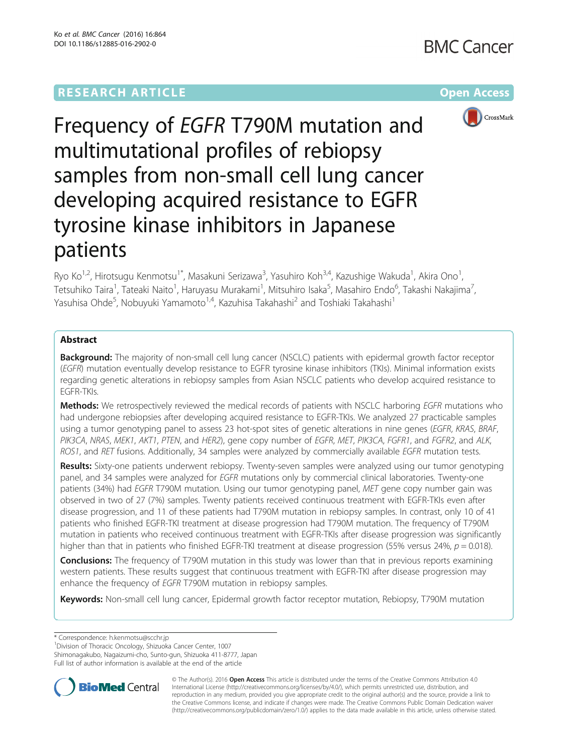# **RESEARCH ARTICLE Example 2014 12:30 The Community Community Community Community Community Community Community**



Frequency of EGFR T790M mutation and multimutational profiles of rebiopsy samples from non-small cell lung cancer developing acquired resistance to EGFR tyrosine kinase inhibitors in Japanese patients

Ryo Ko<sup>1,2</sup>, Hirotsugu Kenmotsu<sup>1\*</sup>, Masakuni Serizawa<sup>3</sup>, Yasuhiro Koh<sup>3,4</sup>, Kazushige Wakuda<sup>1</sup>, Akira Ono<sup>1</sup> , Tetsuhiko Taira<sup>1</sup>, Tateaki Naito<sup>1</sup>, Haruyasu Murakami<sup>1</sup>, Mitsuhiro Isaka<sup>5</sup>, Masahiro Endo<sup>6</sup>, Takashi Nakajima<sup>7</sup> , Yasuhisa Ohde<sup>5</sup>, Nobuyuki Yamamoto<sup>1,4</sup>, Kazuhisa Takahashi<sup>2</sup> and Toshiaki Takahashi<sup>1</sup>

# Abstract

**Background:** The majority of non-small cell lung cancer (NSCLC) patients with epidermal growth factor receptor (EGFR) mutation eventually develop resistance to EGFR tyrosine kinase inhibitors (TKIs). Minimal information exists regarding genetic alterations in rebiopsy samples from Asian NSCLC patients who develop acquired resistance to EGFR-TKIs.

Methods: We retrospectively reviewed the medical records of patients with NSCLC harboring EGFR mutations who had undergone rebiopsies after developing acquired resistance to EGFR-TKIs. We analyzed 27 practicable samples using a tumor genotyping panel to assess 23 hot-spot sites of genetic alterations in nine genes (EGFR, KRAS, BRAF, PIK3CA, NRAS, MEK1, AKT1, PTEN, and HER2), gene copy number of EGFR, MET, PIK3CA, FGFR1, and FGFR2, and ALK, ROS1, and RET fusions. Additionally, 34 samples were analyzed by commercially available EGFR mutation tests.

Results: Sixty-one patients underwent rebiopsy. Twenty-seven samples were analyzed using our tumor genotyping panel, and 34 samples were analyzed for EGFR mutations only by commercial clinical laboratories. Twenty-one patients (34%) had EGFR T790M mutation. Using our tumor genotyping panel, MET gene copy number gain was observed in two of 27 (7%) samples. Twenty patients received continuous treatment with EGFR-TKIs even after disease progression, and 11 of these patients had T790M mutation in rebiopsy samples. In contrast, only 10 of 41 patients who finished EGFR-TKI treatment at disease progression had T790M mutation. The frequency of T790M mutation in patients who received continuous treatment with EGFR-TKIs after disease progression was significantly higher than that in patients who finished EGFR-TKI treatment at disease progression (55% versus 24%,  $p = 0.018$ ).

**Conclusions:** The frequency of T790M mutation in this study was lower than that in previous reports examining western patients. These results suggest that continuous treatment with EGFR-TKI after disease progression may enhance the frequency of EGFR T790M mutation in rebiopsy samples.

Keywords: Non-small cell lung cancer, Epidermal growth factor receptor mutation, Rebiopsy, T790M mutation

\* Correspondence: [h.kenmotsu@scchr.jp](mailto:h.kenmotsu@scchr.jp) <sup>1</sup>

Full list of author information is available at the end of the article



© The Author(s). 2016 Open Access This article is distributed under the terms of the Creative Commons Attribution 4.0 International License [\(http://creativecommons.org/licenses/by/4.0/](http://creativecommons.org/licenses/by/4.0/)), which permits unrestricted use, distribution, and reproduction in any medium, provided you give appropriate credit to the original author(s) and the source, provide a link to the Creative Commons license, and indicate if changes were made. The Creative Commons Public Domain Dedication waiver [\(http://creativecommons.org/publicdomain/zero/1.0/](http://creativecommons.org/publicdomain/zero/1.0/)) applies to the data made available in this article, unless otherwise stated.

<sup>&</sup>lt;sup>1</sup> Division of Thoracic Oncology, Shizuoka Cancer Center, 1007

Shimonagakubo, Nagaizumi-cho, Sunto-gun, Shizuoka 411-8777, Japan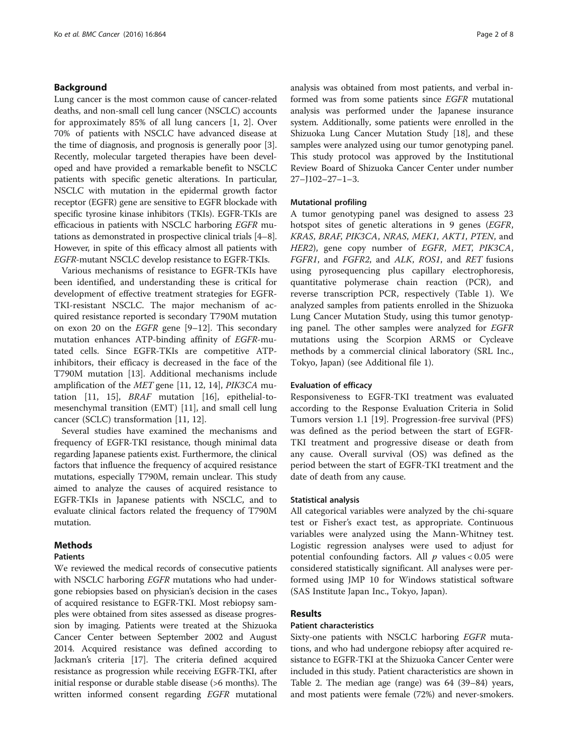# Background

Lung cancer is the most common cause of cancer-related deaths, and non-small cell lung cancer (NSCLC) accounts for approximately 85% of all lung cancers [[1](#page-6-0), [2](#page-6-0)]. Over 70% of patients with NSCLC have advanced disease at the time of diagnosis, and prognosis is generally poor [[3](#page-6-0)]. Recently, molecular targeted therapies have been developed and have provided a remarkable benefit to NSCLC patients with specific genetic alterations. In particular, NSCLC with mutation in the epidermal growth factor receptor (EGFR) gene are sensitive to EGFR blockade with specific tyrosine kinase inhibitors (TKIs). EGFR-TKIs are efficacious in patients with NSCLC harboring EGFR mutations as demonstrated in prospective clinical trials [[4](#page-6-0)–[8](#page-6-0)]. However, in spite of this efficacy almost all patients with EGFR-mutant NSCLC develop resistance to EGFR-TKIs.

Various mechanisms of resistance to EGFR-TKIs have been identified, and understanding these is critical for development of effective treatment strategies for EGFR-TKI-resistant NSCLC. The major mechanism of acquired resistance reported is secondary T790M mutation on exon 20 on the EGFR gene [[9](#page-6-0)–[12](#page-6-0)]. This secondary mutation enhances ATP-binding affinity of EGFR-mutated cells. Since EGFR-TKIs are competitive ATPinhibitors, their efficacy is decreased in the face of the T790M mutation [\[13](#page-6-0)]. Additional mechanisms include amplification of the MET gene [\[11](#page-6-0), [12](#page-6-0), [14](#page-6-0)], PIK3CA mutation [[11](#page-6-0), [15](#page-6-0)], BRAF mutation [[16\]](#page-6-0), epithelial-tomesenchymal transition (EMT) [[11\]](#page-6-0), and small cell lung cancer (SCLC) transformation [[11](#page-6-0), [12](#page-6-0)].

Several studies have examined the mechanisms and frequency of EGFR-TKI resistance, though minimal data regarding Japanese patients exist. Furthermore, the clinical factors that influence the frequency of acquired resistance mutations, especially T790M, remain unclear. This study aimed to analyze the causes of acquired resistance to EGFR-TKIs in Japanese patients with NSCLC, and to evaluate clinical factors related the frequency of T790M mutation.

# Methods

# **Patients**

We reviewed the medical records of consecutive patients with NSCLC harboring *EGFR* mutations who had undergone rebiopsies based on physician's decision in the cases of acquired resistance to EGFR-TKI. Most rebiopsy samples were obtained from sites assessed as disease progression by imaging. Patients were treated at the Shizuoka Cancer Center between September 2002 and August 2014. Acquired resistance was defined according to Jackman's criteria [\[17](#page-6-0)]. The criteria defined acquired resistance as progression while receiving EGFR-TKI, after initial response or durable stable disease (>6 months). The written informed consent regarding EGFR mutational analysis was obtained from most patients, and verbal informed was from some patients since EGFR mutational analysis was performed under the Japanese insurance system. Additionally, some patients were enrolled in the Shizuoka Lung Cancer Mutation Study [\[18\]](#page-6-0), and these samples were analyzed using our tumor genotyping panel. This study protocol was approved by the Institutional Review Board of Shizuoka Cancer Center under number 27–J102–27–1–3.

## Mutational profiling

A tumor genotyping panel was designed to assess 23 hotspot sites of genetic alterations in 9 genes (EGFR, KRAS, BRAF, PIK3CA, NRAS, MEK1, AKT1, PTEN, and HER2), gene copy number of EGFR, MET, PIK3CA, FGFR1, and FGFR2, and ALK, ROS1, and RET fusions using pyrosequencing plus capillary electrophoresis, quantitative polymerase chain reaction (PCR), and reverse transcription PCR, respectively (Table [1](#page-2-0)). We analyzed samples from patients enrolled in the Shizuoka Lung Cancer Mutation Study, using this tumor genotyping panel. The other samples were analyzed for EGFR mutations using the Scorpion ARMS or Cycleave methods by a commercial clinical laboratory (SRL Inc., Tokyo, Japan) (see Additional file [1](#page-5-0)).

# Evaluation of efficacy

Responsiveness to EGFR-TKI treatment was evaluated according to the Response Evaluation Criteria in Solid Tumors version 1.1 [[19](#page-6-0)]. Progression-free survival (PFS) was defined as the period between the start of EGFR-TKI treatment and progressive disease or death from any cause. Overall survival (OS) was defined as the period between the start of EGFR-TKI treatment and the date of death from any cause.

### Statistical analysis

All categorical variables were analyzed by the chi-square test or Fisher's exact test, as appropriate. Continuous variables were analyzed using the Mann-Whitney test. Logistic regression analyses were used to adjust for potential confounding factors. All  $p$  values < 0.05 were considered statistically significant. All analyses were performed using JMP 10 for Windows statistical software (SAS Institute Japan Inc., Tokyo, Japan).

# Results

# Patient characteristics

Sixty-one patients with NSCLC harboring EGFR mutations, and who had undergone rebiopsy after acquired resistance to EGFR-TKI at the Shizuoka Cancer Center were included in this study. Patient characteristics are shown in Table [2.](#page-2-0) The median age (range) was 64 (39–84) years, and most patients were female (72%) and never-smokers.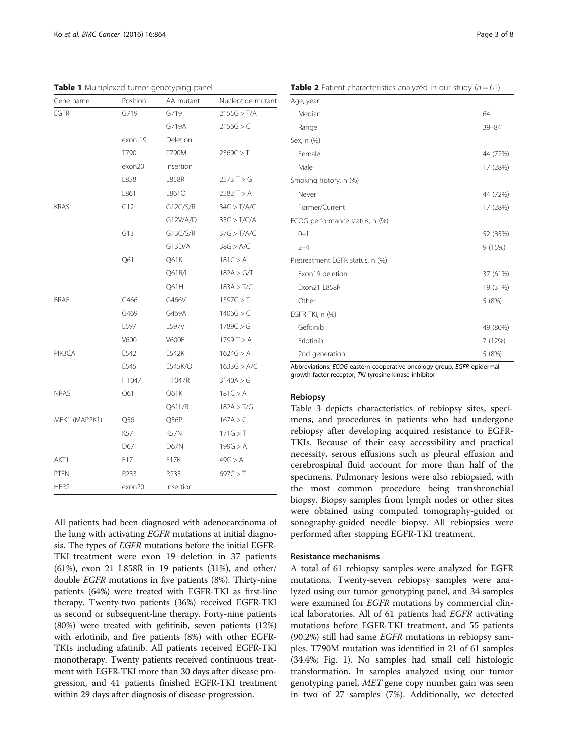All patients had been diagnosed with adenocarcinoma of the lung with activating EGFR mutations at initial diagnosis. The types of EGFR mutations before the initial EGFR-TKI treatment were exon 19 deletion in 37 patients (61%), exon 21 L858R in 19 patients (31%), and other/ double EGFR mutations in five patients (8%). Thirty-nine patients (64%) were treated with EGFR-TKI as first-line therapy. Twenty-two patients (36%) received EGFR-TKI as second or subsequent-line therapy. Forty-nine patients (80%) were treated with gefitinib, seven patients (12%) with erlotinib, and five patients (8%) with other EGFR-TKIs including afatinib. All patients received EGFR-TKI monotherapy. Twenty patients received continuous treatment with EGFR-TKI more than 30 days after disease progression, and 41 patients finished EGFR-TKI treatment

within 29 days after diagnosis of disease progression.

Abbreviations: ECOG eastern cooperative oncology group, EGFR epidermal growth factor receptor, TKI tyrosine kinase inhibitor

**Table 2** Patient characteristics analyzed in our study  $(n = 61)$ 

Median 64 Range 39–84

Female 44 (72%) Male 17 (28%)

Never 44 (72%) Former/Current 17 (28%)

0–1 52 (85%) 2–4 9 (15%)

Exon 19 deletion 37 (61%) Exon21 L858R 19 (31%) Other 5 (8%)

Gefitinib 49 (80%) Erlotinib 7 (12%) 2nd generation 5 (8%)

# Rebiopsy

EGFR TKI, n (%)

Age, year

Sex, n (%)

Smoking history, n (%)

ECOG performance status, n (%)

Pretreatment EGFR status, n (%)

Table [3](#page-3-0) depicts characteristics of rebiopsy sites, specimens, and procedures in patients who had undergone rebiopsy after developing acquired resistance to EGFR-TKIs. Because of their easy accessibility and practical necessity, serous effusions such as pleural effusion and cerebrospinal fluid account for more than half of the specimens. Pulmonary lesions were also rebiopsied, with the most common procedure being transbronchial biopsy. Biopsy samples from lymph nodes or other sites were obtained using computed tomography-guided or sonography-guided needle biopsy. All rebiopsies were performed after stopping EGFR-TKI treatment.

# Resistance mechanisms

A total of 61 rebiopsy samples were analyzed for EGFR mutations. Twenty-seven rebiopsy samples were analyzed using our tumor genotyping panel, and 34 samples were examined for EGFR mutations by commercial clinical laboratories. All of 61 patients had EGFR activating mutations before EGFR-TKI treatment, and 55 patients (90.2%) still had same EGFR mutations in rebiopsy samples. T790M mutation was identified in 21 of 61 samples (34.4%; Fig. [1\)](#page-3-0). No samples had small cell histologic transformation. In samples analyzed using our tumor genotyping panel, MET gene copy number gain was seen in two of 27 samples (7%). Additionally, we detected

<span id="page-2-0"></span>Table 1 Multiplexed tumor genotyping panel

|                  |          | $\overline{\phantom{a}}$<br>$\sim$ 1 |                   |
|------------------|----------|--------------------------------------|-------------------|
| Gene name        | Position | AA mutant                            | Nucleotide mutant |
| <b>EGFR</b>      | G719     | G719                                 | 2155G > T/A       |
|                  |          | G719A                                | 2156G > C         |
|                  | exon 19  | Deletion                             |                   |
|                  | T790     | T790M                                | 2369C > T         |
|                  | exon20   | Insertion                            |                   |
|                  | L858     | L858R                                | 2573 T > G        |
|                  | L861     | L861Q                                | 2582 T > A        |
| <b>KRAS</b>      | G12      | G12C/S/R                             | 34G > T/AVC       |
|                  |          | G12V/A/D                             | 35G > T/C/A       |
|                  | G13      | G13C/S/R                             | 37G > T/A/C       |
|                  |          | G13D/A                               | 38G > A/C         |
|                  | Q61      | Q61K                                 | 181C > A          |
|                  |          | Q61R/L                               | 182A > G/T        |
|                  |          | Q61H                                 | 183A > T/C        |
| <b>BRAF</b>      | G466     | G466V                                | 1397G > T         |
|                  | G469     | G469A                                | 1406G > C         |
|                  | L597     | L597V                                | 1789C > G         |
|                  | V600     | <b>V600E</b>                         | 1799 T > A        |
| PIK3CA           | E542     | E542K                                | 1624G > A         |
|                  | E545     | E545K/Q                              | 1633G > A/C       |
|                  | H1047    | H1047R                               | 3140A > G         |
| <b>NRAS</b>      | Q61      | Q61K                                 | 181C > A          |
|                  |          | Q61L/R                               | 182A > T/G        |
| MEK1 (MAP2K1)    | Q56      | Q56P                                 | 167A > C          |
|                  | K57      | K57N                                 | 171G > T          |
|                  | D67      | D67N                                 | 199G > A          |
| AKT1             | E17      | E17K                                 | 49G > A           |
| PTEN             | R233     | R <sub>2</sub> 33                    | 697C > T          |
| HER <sub>2</sub> | exon20   | Insertion                            |                   |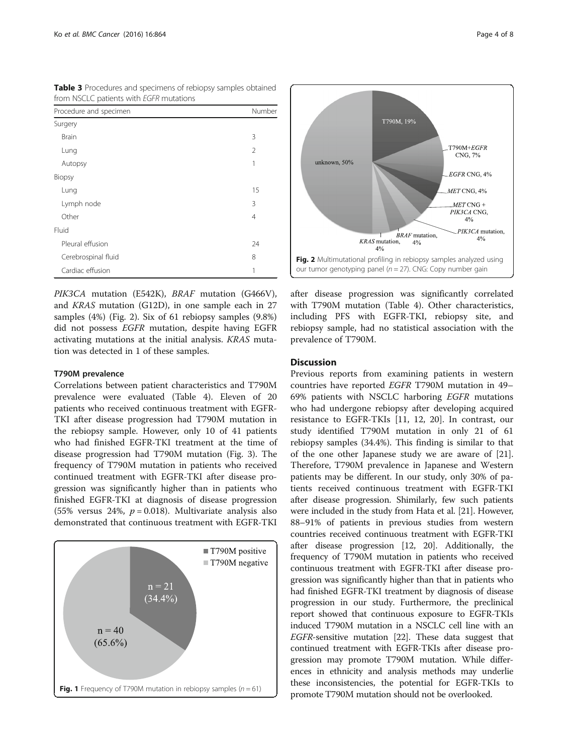| <b>HOHI INSCLU DATIBLITY WILL EGEN HIULATIONS</b> |                |  |  |  |
|---------------------------------------------------|----------------|--|--|--|
| Procedure and specimen                            | Number         |  |  |  |
| Surgery                                           |                |  |  |  |
| <b>Brain</b>                                      | 3              |  |  |  |
| Lung                                              | 2              |  |  |  |
| Autopsy                                           | 1              |  |  |  |
| Biopsy                                            |                |  |  |  |
| Lung                                              | 15             |  |  |  |
| Lymph node                                        | 3              |  |  |  |
| Other                                             | $\overline{4}$ |  |  |  |
| Fluid                                             |                |  |  |  |
| Pleural effusion                                  | 24             |  |  |  |
| Cerebrospinal fluid                               |                |  |  |  |
| Cardiac effusion                                  | 1              |  |  |  |

<span id="page-3-0"></span>Table 3 Procedures and specimens of rebiopsy samples obtained from NSCLC patients with EGFR mutations

PIK3CA mutation (E542K), BRAF mutation (G466V), and KRAS mutation (G12D), in one sample each in 27 samples (4%) (Fig. 2). Six of 61 rebiopsy samples (9.8%) did not possess EGFR mutation, despite having EGFR activating mutations at the initial analysis. KRAS mutation was detected in 1 of these samples.

# T790M prevalence

Correlations between patient characteristics and T790M prevalence were evaluated (Table [4](#page-4-0)). Eleven of 20 patients who received continuous treatment with EGFR-TKI after disease progression had T790M mutation in the rebiopsy sample. However, only 10 of 41 patients who had finished EGFR-TKI treatment at the time of disease progression had T790M mutation (Fig. [3\)](#page-5-0). The frequency of T790M mutation in patients who received continued treatment with EGFR-TKI after disease progression was significantly higher than in patients who finished EGFR-TKI at diagnosis of disease progression (55% versus 24%,  $p = 0.018$ ). Multivariate analysis also demonstrated that continuous treatment with EGFR-TKI





after disease progression was significantly correlated with T790M mutation (Table [4\)](#page-4-0). Other characteristics, including PFS with EGFR-TKI, rebiopsy site, and rebiopsy sample, had no statistical association with the prevalence of T790M.

# **Discussion**

Previous reports from examining patients in western countries have reported EGFR T790M mutation in 49– 69% patients with NSCLC harboring EGFR mutations who had undergone rebiopsy after developing acquired resistance to EGFR-TKIs [\[11](#page-6-0), [12, 20\]](#page-6-0). In contrast, our study identified T790M mutation in only 21 of 61 rebiopsy samples (34.4%). This finding is similar to that of the one other Japanese study we are aware of [\[21](#page-6-0)]. Therefore, T790M prevalence in Japanese and Western patients may be different. In our study, only 30% of patients received continuous treatment with EGFR-TKI after disease progression. Shimilarly, few such patients were included in the study from Hata et al. [[21](#page-6-0)]. However, 88–91% of patients in previous studies from western countries received continuous treatment with EGFR-TKI after disease progression [\[12](#page-6-0), [20\]](#page-6-0). Additionally, the frequency of T790M mutation in patients who received continuous treatment with EGFR-TKI after disease progression was significantly higher than that in patients who had finished EGFR-TKI treatment by diagnosis of disease progression in our study. Furthermore, the preclinical report showed that continuous exposure to EGFR-TKIs induced T790M mutation in a NSCLC cell line with an EGFR-sensitive mutation [[22](#page-6-0)]. These data suggest that continued treatment with EGFR-TKIs after disease progression may promote T790M mutation. While differences in ethnicity and analysis methods may underlie these inconsistencies, the potential for EGFR-TKIs to promote T790M mutation should not be overlooked.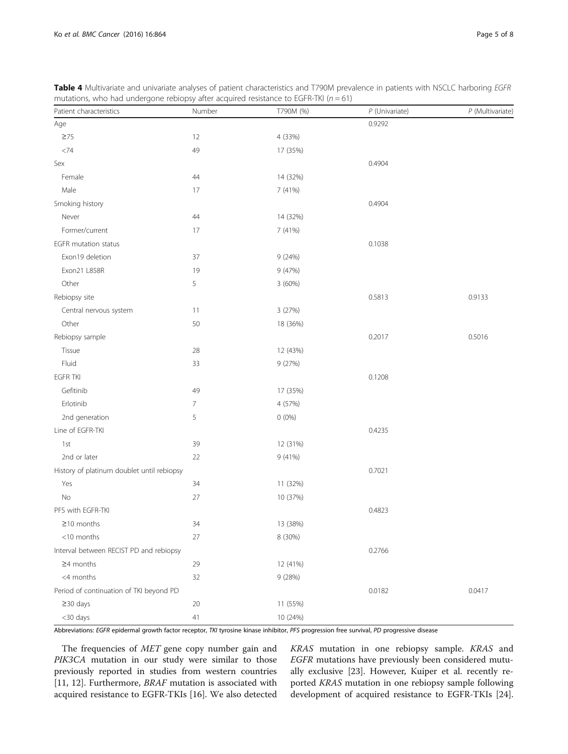| Patient characteristics                    | Number | T790M (%) | P (Univariate) | P (Multivariate) |
|--------------------------------------------|--------|-----------|----------------|------------------|
| Age                                        |        |           | 0.9292         |                  |
| $\geq 75$                                  | 12     | 4 (33%)   |                |                  |
| $<74\,$                                    | 49     | 17 (35%)  |                |                  |
| Sex                                        |        |           | 0.4904         |                  |
| Female                                     | 44     | 14 (32%)  |                |                  |
| Male                                       | 17     | 7 (41%)   |                |                  |
| Smoking history                            |        |           | 0.4904         |                  |
| Never                                      | 44     | 14 (32%)  |                |                  |
| Former/current                             | 17     | 7 (41%)   |                |                  |
| EGFR mutation status                       |        |           | 0.1038         |                  |
| Exon19 deletion                            | 37     | 9(24%)    |                |                  |
| Exon21 L858R                               | 19     | 9 (47%)   |                |                  |
| Other                                      | 5      | 3 (60%)   |                |                  |
| Rebiopsy site                              |        |           | 0.5813         | 0.9133           |
| Central nervous system                     | 11     | 3 (27%)   |                |                  |
| Other                                      | 50     | 18 (36%)  |                |                  |
| Rebiopsy sample                            |        |           | 0.2017         | 0.5016           |
| Tissue                                     | 28     | 12 (43%)  |                |                  |
| Fluid                                      | 33     | 9 (27%)   |                |                  |
| <b>EGFR TKI</b>                            |        |           | 0.1208         |                  |
| Gefitinib                                  | 49     | 17 (35%)  |                |                  |
| Erlotinib                                  | 7      | 4 (57%)   |                |                  |
| 2nd generation                             | 5      | $0(0\%)$  |                |                  |
| Line of EGFR-TKI                           |        |           | 0.4235         |                  |
| 1st                                        | 39     | 12 (31%)  |                |                  |
| 2nd or later                               | 22     | 9(41%)    |                |                  |
| History of platinum doublet until rebiopsy |        |           | 0.7021         |                  |
| Yes                                        | 34     | 11 (32%)  |                |                  |
| No                                         | 27     | 10 (37%)  |                |                  |
| PFS with EGFR-TKI                          |        |           | 0.4823         |                  |
| $\geq$ 10 months                           | 34     | 13 (38%)  |                |                  |
| $<$ 10 months                              | 27     | 8 (30%)   |                |                  |
| Interval between RECIST PD and rebiopsy    |        |           | 0.2766         |                  |
| $\geq$ 4 months                            | 29     | 12 (41%)  |                |                  |
| <4 months                                  | $32\,$ | 9 (28%)   |                |                  |
| Period of continuation of TKI beyond PD    |        | 0.0182    | 0.0417         |                  |
| $\geq$ 30 days                             | 20     | 11 (55%)  |                |                  |
| <30 days                                   | 41     | 10 (24%)  |                |                  |

<span id="page-4-0"></span>Table 4 Multivariate and univariate analyses of patient characteristics and T790M prevalence in patients with NSCLC harboring EGFR mutations, who had undergone rebiopsy after acquired resistance to EGFR-TKI ( $n = 61$ )

Abbreviations: EGFR epidermal growth factor receptor, TKI tyrosine kinase inhibitor, PFS progression free survival, PD progressive disease

The frequencies of MET gene copy number gain and PIK3CA mutation in our study were similar to those previously reported in studies from western countries [[11, 12\]](#page-6-0). Furthermore, BRAF mutation is associated with acquired resistance to EGFR-TKIs [\[16\]](#page-6-0). We also detected

KRAS mutation in one rebiopsy sample. KRAS and EGFR mutations have previously been considered mutually exclusive [\[23\]](#page-6-0). However, Kuiper et al. recently reported KRAS mutation in one rebiopsy sample following development of acquired resistance to EGFR-TKIs [\[24](#page-6-0)].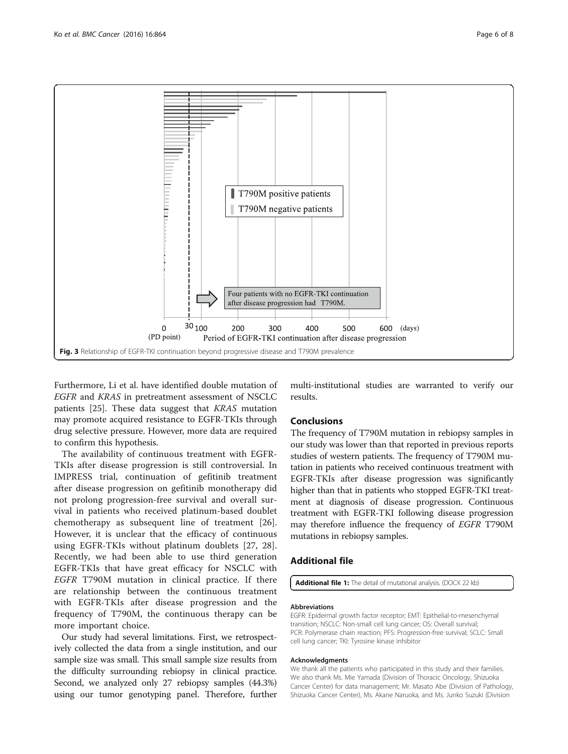<span id="page-5-0"></span>

Furthermore, Li et al. have identified double mutation of EGFR and KRAS in pretreatment assessment of NSCLC patients [[25\]](#page-6-0). These data suggest that KRAS mutation may promote acquired resistance to EGFR-TKIs through drug selective pressure. However, more data are required to confirm this hypothesis.

The availability of continuous treatment with EGFR-TKIs after disease progression is still controversial. In IMPRESS trial, continuation of gefitinib treatment after disease progression on gefitinib monotherapy did not prolong progression-free survival and overall survival in patients who received platinum-based doublet chemotherapy as subsequent line of treatment [\[26](#page-7-0)]. However, it is unclear that the efficacy of continuous using EGFR-TKIs without platinum doublets [\[27](#page-7-0), [28](#page-7-0)]. Recently, we had been able to use third generation EGFR-TKIs that have great efficacy for NSCLC with EGFR T790M mutation in clinical practice. If there are relationship between the continuous treatment with EGFR-TKIs after disease progression and the frequency of T790M, the continuous therapy can be more important choice.

Our study had several limitations. First, we retrospectively collected the data from a single institution, and our sample size was small. This small sample size results from the difficulty surrounding rebiopsy in clinical practice. Second, we analyzed only 27 rebiopsy samples (44.3%) using our tumor genotyping panel. Therefore, further

multi-institutional studies are warranted to verify our results.

# Conclusions

The frequency of T790M mutation in rebiopsy samples in our study was lower than that reported in previous reports studies of western patients. The frequency of T790M mutation in patients who received continuous treatment with EGFR-TKIs after disease progression was significantly higher than that in patients who stopped EGFR-TKI treatment at diagnosis of disease progression. Continuous treatment with EGFR-TKI following disease progression may therefore influence the frequency of EGFR T790M mutations in rebiopsy samples.

# Additional file

[Additional file 1:](dx.doi.org/10.1186/s12885-016-2902-0) The detail of mutational analysis. (DOCX 22 kb)

### Abbreviations

EGFR: Epidermal growth factor receptor; EMT: Epithelial-to-mesenchymal transition; NSCLC: Non-small cell lung cancer; OS: Overall survival; PCR: Polymerase chain reaction; PFS: Progression-free survival; SCLC: Small cell lung cancer; TKI: Tyrosine kinase inhibitor

#### Acknowledgments

We thank all the patients who participated in this study and their families. We also thank Ms. Mie Yamada (Division of Thoracic Oncology, Shizuoka Cancer Center) for data management; Mr. Masato Abe (Division of Pathology, Shizuoka Cancer Center), Ms. Akane Naruoka, and Ms. Junko Suzuki (Division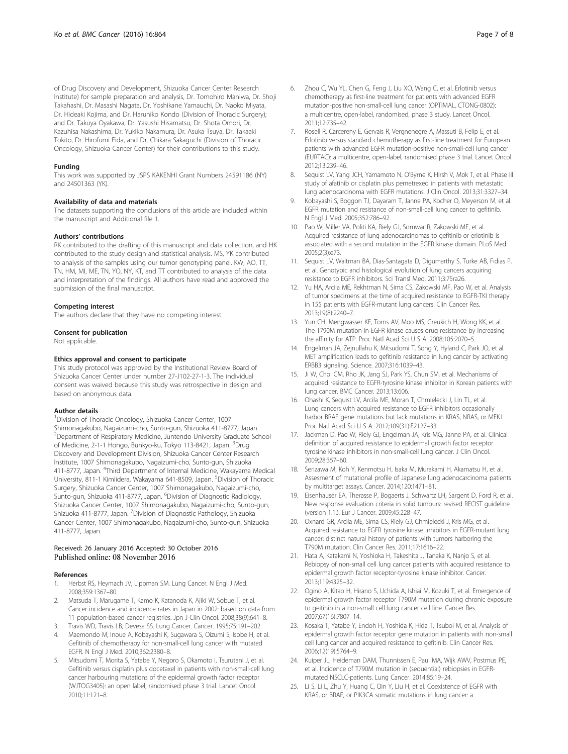<span id="page-6-0"></span>of Drug Discovery and Development, Shizuoka Cancer Center Research Institute) for sample preparation and analysis, Dr. Tomohiro Maniwa, Dr. Shoji Takahashi, Dr. Masashi Nagata, Dr. Yoshikane Yamauchi, Dr. Naoko Miyata, Dr. Hideaki Kojima, and Dr. Haruhiko Kondo (Division of Thoracic Surgery); and Dr. Takuya Oyakawa, Dr. Yasushi Hisamatsu, Dr. Shota Omori, Dr. Kazuhisa Nakashima, Dr. Yukiko Nakamura, Dr. Asuka Tsuya, Dr. Takaaki Tokito, Dr. Hirofumi Eida, and Dr. Chikara Sakaguchi (Division of Thoracic Oncology, Shizuoka Cancer Center) for their contributions to this study.

### Funding

This work was supported by JSPS KAKENHI Grant Numbers 24591186 (NY) and 24501363 (YK).

### Availability of data and materials

The datasets supporting the conclusions of this article are included within the manuscript and Additional file [1.](#page-5-0)

#### Authors' contributions

RK contributed to the drafting of this manuscript and data collection, and HK contributed to the study design and statistical analysis. MS, YK contributed to analysis of the samples using our tumor genotyping panel. KW, AO, TT, TN, HM, MI, ME, TN, YO, NY, KT, and TT contributed to analysis of the data and interpretation of the findings. All authors have read and approved the submission of the final manuscript.

### Competing interest

The authors declare that they have no competing interest.

### Consent for publication

Not applicable.

#### Ethics approval and consent to participate

This study protocol was approved by the Institutional Review Board of Shizuoka Cancer Center under number 27-J102-27-1-3. The individual consent was waived because this study was retrospective in design and based on anonymous data.

# Author details

<sup>1</sup> Division of Thoracic Oncology, Shizuoka Cancer Center, 1007 Shimonagakubo, Nagaizumi-cho, Sunto-gun, Shizuoka 411-8777, Japan. <sup>2</sup> Department of Respiratory Medicine, Juntendo University Graduate School of Medicine, 2-1-1 Hongo, Bunkyo-ku, Tokyo 113-8421, Japan. <sup>3</sup>Drug Discovery and Development Division, Shizuoka Cancer Center Research Institute, 1007 Shimonagakubo, Nagaizumi-cho, Sunto-gun, Shizuoka 411-8777, Japan. <sup>4</sup>Third Department of Internal Medicine, Wakayama Medical University, 811-1 Kimiidera, Wakayama 641-8509, Japan. <sup>5</sup>Division of Thoracic Surgery, Shizuoka Cancer Center, 1007 Shimonagakubo, Nagaizumi-cho, Sunto-gun, Shizuoka 411-8777, Japan. <sup>6</sup>Division of Diagnostic Radiology, Shizuoka Cancer Center, 1007 Shimonagakubo, Nagaizumi-cho, Sunto-gun, Shizuoka 411-8777, Japan. <sup>7</sup>Division of Diagnostic Pathology, Shizuoka Cancer Center, 1007 Shimonagakubo, Nagaizumi-cho, Sunto-gun, Shizuoka 411-8777, Japan.

# Received: 26 January 2016 Accepted: 30 October 2016 Published online: 08 November 2016

### References

- 1. Herbst RS, Heymach JV, Lippman SM. Lung Cancer. N Engl J Med. 2008;359:1367–80.
- 2. Matsuda T, Marugame T, Kamo K, Katanoda K, Ajiki W, Sobue T, et al. Cancer incidence and incidence rates in Japan in 2002: based on data from 11 population-based cancer registries. Jpn J Clin Oncol. 2008;38(9):641–8.
- 3. Travis WD, Travis LB, Devesa SS. Lung Cancer. Cancer. 1995;75:191–202.
- 4. Maemondo M, Inoue A, Kobayashi K, Sugawara S, Oizumi S, Isobe H, et al. Gefitinib of chemotherapy for non-small-cell lung cancer with mutated EGFR. N Engl J Med. 2010;362:2380–8.
- 5. Mitsudomi T, Morita S, Yatabe Y, Negoro S, Okamoto I, Tsurutani J, et al. Gefitinib versus cisplatin plus docetaxel in patients with non-small-cell lung cancer harbouring mutations of the epidermal growth factor receptor (WJTOG3405): an open label, randomised phase 3 trial. Lancet Oncol. 2010;11:121–8.
- 6. Zhou C, Wu YL, Chen G, Feng J, Liu XO, Wang C, et al. Erlotinib versus chemotherapy as first-line treatment for patients with advanced EGFR mutation-positive non-small-cell lung cancer (OPTIMAL, CTONG-0802): a multicentre, open-label, randomised, phase 3 study. Lancet Oncol. 2011;12:735–42.
- 7. Rosell R, Carcereny E, Gervais R, Vergnenegre A, Massuti B, Felip E, et al. Erlotinib versus standard chemotherapy as first-line treatment for European patients with advanced EGFR mutation-positive non-small-cell lung cancer (EURTAC): a multicentre, open-label, randomised phase 3 trial. Lancet Oncol. 2012;13:239–46.
- 8. Sequist LV, Yang JCH, Yamamoto N, O'Byrne K, Hirsh V, Mok T, et al. Phase III study of afatinib or cisplatin plus pemetrexed in patients with metastatic lung adenocarcinoma with EGFR mutations. J Clin Oncol. 2013;31:3327–34.
- 9. Kobayashi S, Boggon TJ, Dayaram T, Janne PA, Kocher O, Meyerson M, et al. EGFR mutation and resistance of non-small-cell lung cancer to gefitinib. N Engl J Med. 2005;352:786–92.
- 10. Pao W, Miller VA, Politi KA, Riely GJ, Somwar R, Zakowski MF, et al. Acquired resistance of lung adenocarcinomas to gefitinib or erlotinib is associated with a second mutation in the EGFR kinase domain. PLoS Med. 2005;2(3):e73.
- 11. Sequist LV, Waltman BA, Dias-Santagata D, Digumarthy S, Turke AB, Fidias P, et al. Genotypic and histological evolution of lung cancers acquiring resistance to EGFR inhibitors. Sci Transl Med. 2011;3:75ra26.
- 12. Yu HA, Arcila ME, Rekhtman N, Sima CS, Zakowski MF, Pao W, et al. Analysis of tumor specimens at the time of acquired resistance to EGFR-TKI therapy in 155 patients with EGFR-mutant lung cancers. Clin Cancer Res. 2013;19(8):2240–7.
- 13. Yun CH, Mengwasser KE, Toms AV, Moo MS, Greukich H, Wong KK, et al. The T790M mutation in EGFR kinase causes drug resistance by increasing the affinity for ATP. Proc Natl Acad Sci U S A. 2008;105:2070–5.
- 14. Engelman JA, Zejnullahu K, Mitsudomi T, Song Y, Hyland C, Park JO, et al. MET amplification leads to gefitinib resistance in lung cancer by activating ERBB3 signaling. Science. 2007;316:1039–43.
- 15. Ji W, Choi CM, Rho JK, Jang SJ, Park YS, Chun SM, et al. Mechanisms of acquired resistance to EGFR-tyrosine kinase inhibitor in Korean patients with lung cancer. BMC Cancer. 2013;13:606.
- 16. Ohashi K, Sequist LV, Arcila ME, Moran T, Chmielecki J, Lin TL, et al. Lung cancers with acquired resistance to EGFR inhibitors occasionally harbor BRAF gene mutations but lack mutations in KRAS, NRAS, or MEK1. Proc Natl Acad Sci U S A. 2012;109(31):E2127–33.
- 17. Jackman D, Pao W, Riely GJ, Engelman JA, Kris MG, Janne PA, et al. Clinical definition of acquired resistance to epidermal growth factor receptor tyrosine kinase inhibitors in non-small-cell lung cancer. J Clin Oncol. 2009;28:357–60.
- 18. Serizawa M, Koh Y, Kenmotsu H, Isaka M, Murakami H, Akamatsu H, et al. Assesment of mutational profile of Japanese lung adenocarcinoma patients by multitarget assays. Cancer. 2014;120:1471–81.
- 19. Eisenhauser EA, Therasse P, Bogaerts J, Schwartz LH, Sargent D, Ford R, et al. New response evaluation criteria in solid tumours: revised RECIST guideline (version 1.1.). Eur J Cancer. 2009;45:228–47.
- 20. Oxnard GR, Arcila ME, Sima CS, Riely GJ, Chmielecki J, Kris MG, et al. Acquired resistance to EGFR tyrosine kinase inhibitors in EGFR-mutant lung cancer: distinct natural history of patients with tumors harboring the T790M mutation. Clin Cancer Res. 2011;17:1616–22.
- 21. Hata A, Katakami N, Yoshioka H, Takeshita J, Tanaka K, Nanjo S, et al. Rebiopsy of non-small cell lung cancer patients with acquired resistance to epidermal growth factor receptor-tyrosine kinase inhibitor. Cancer. 2013;119:4325–32.
- 22. Ogino A, Kitao H, Hirano S, Uchida A, Ishiai M, Kozuki T, et al. Emergence of epidermal growth factor receptor T790M mutation during chronic exposure to geitinib in a non-small cell lung cancer cell line. Cancer Res. 2007;67(16):7807–14.
- 23. Kosaka T, Yatabe Y, Endoh H, Yoshida K, Hida T, Tsuboi M, et al. Analysis of epidermal growth factor receptor gene mutation in patients with non-small cell lung cancer and acquired resistance to gefitinib. Clin Cancer Res. 2006;12(19):5764–9.
- 24. Kuiper JL, Heideman DAM, Thunnissen E, Paul MA, Wijk AWV, Postmus PE, et al. Incidence of T790M mutation in (sequential) rebiopsies in EGFRmutated NSCLC-patients. Lung Cancer. 2014;85:19–24.
- 25. Li S, Li L, Zhu Y, Huang C, Qin Y, Liu H, et al. Coexistence of EGFR with KRAS, or BRAF, or PIK3CA somatic mutations in lung cancer: a